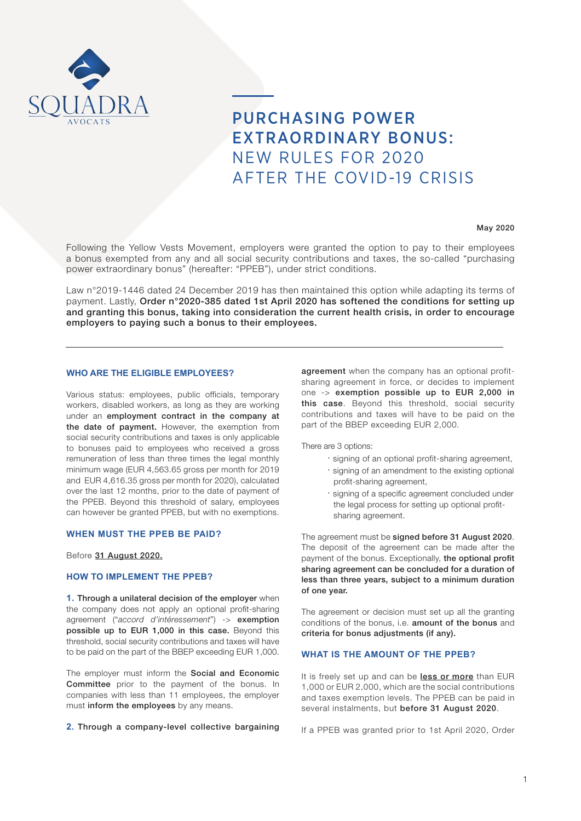

# PURCHASING POWER EXTRAORDINARY BONUS: NEW RULES FOR 2020 AFTER THE COVID-19 CRISIS

#### May 2020

Following the Yellow Vests Movement, employers were granted the option to pay to their employees a bonus exempted from any and all social security contributions and taxes, the so-called "purchasing power extraordinary bonus" (hereafter: "PPEB"), under strict conditions.

Law n°2019-1446 dated 24 December 2019 has then maintained this option while adapting its terms of payment. Lastly, Order n°2020-385 dated 1st April 2020 has softened the conditions for setting up and granting this bonus, taking into consideration the current health crisis, in order to encourage employers to paying such a bonus to their employees.

## **WHO ARE THE ELIGIBLE EMPLOYEES?**

Various status: employees, public officials, temporary workers, disabled workers, as long as they are working under an employment contract in the company at the date of payment. However, the exemption from social security contributions and taxes is only applicable to bonuses paid to employees who received a gross remuneration of less than three times the legal monthly minimum wage (EUR 4,563.65 gross per month for 2019 and EUR 4,616.35 gross per month for 2020), calculated over the last 12 months, prior to the date of payment of the PPEB. Beyond this threshold of salary, employees can however be granted PPEB, but with no exemptions.

#### **WHEN MUST THE PPEB BE PAID?**

Before 31 August 2020.

#### **HOW TO IMPLEMENT THE PPEB?**

**1. Through a unilateral decision of the employer** when the company does not apply an optional profit-sharing agreement ("*accord d'intéressement*") -> exemption possible up to EUR 1,000 in this case. Beyond this threshold, social security contributions and taxes will have to be paid on the part of the BBEP exceeding EUR 1,000.

The employer must inform the Social and Economic Committee prior to the payment of the bonus. In companies with less than 11 employees, the employer must inform the employees by any means.

**2.** Through a company-level collective bargaining

agreement when the company has an optional profitsharing agreement in force, or decides to implement one -> exemption possible up to EUR 2,000 in this case. Beyond this threshold, social security contributions and taxes will have to be paid on the part of the BBEP exceeding EUR 2,000.

There are 3 options:

- · signing of an optional profit-sharing agreement,
- · signing of an amendment to the existing optional profit-sharing agreement,
- · signing of a specific agreement concluded under the legal process for setting up optional profit sharing agreement.

The agreement must be signed before 31 August 2020. The deposit of the agreement can be made after the payment of the bonus. Exceptionally, the optional profit sharing agreement can be concluded for a duration of less than three years, subject to a minimum duration of one year.

The agreement or decision must set up all the granting conditions of the bonus, i.e. amount of the bonus and criteria for bonus adjustments (if any).

### **WHAT IS THE AMOUNT OF THE PPEB?**

It is freely set up and can be less or more than EUR 1,000 or EUR 2,000, which are the social contributions and taxes exemption levels. The PPEB can be paid in several instalments, but before 31 August 2020.

If a PPEB was granted prior to 1st April 2020, Order